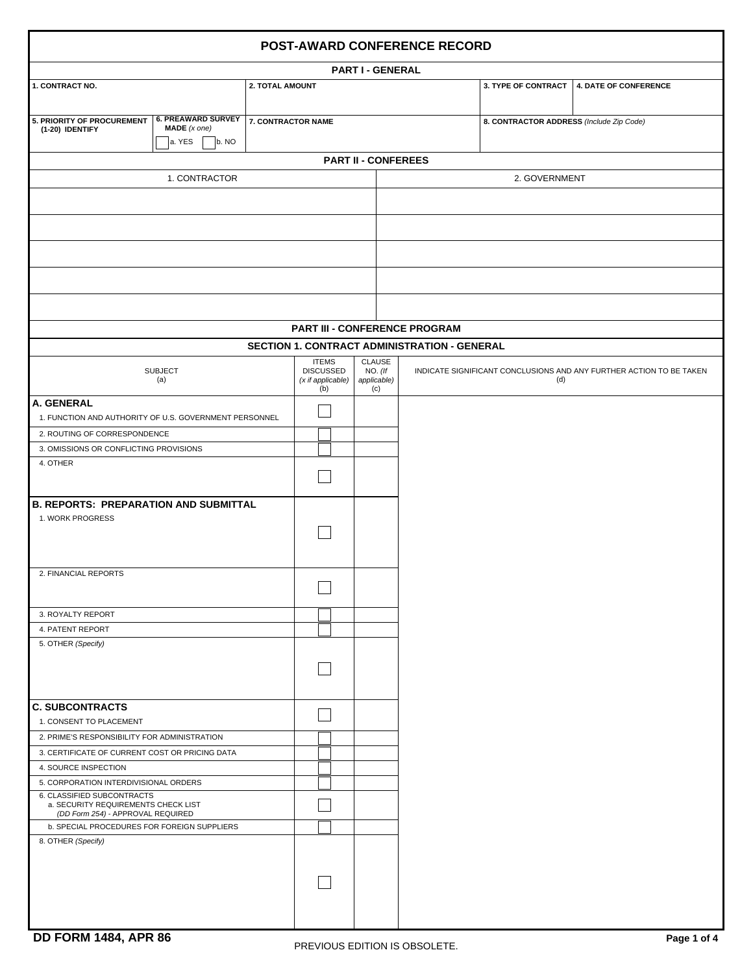|                                                                                                        |                                                                   |                    |                                                              |                                           | <b>POST-AWARD CONFERENCE RECORD</b>          |                                                                            |                                             |  |
|--------------------------------------------------------------------------------------------------------|-------------------------------------------------------------------|--------------------|--------------------------------------------------------------|-------------------------------------------|----------------------------------------------|----------------------------------------------------------------------------|---------------------------------------------|--|
|                                                                                                        |                                                                   |                    |                                                              | <b>PART I - GENERAL</b>                   |                                              |                                                                            |                                             |  |
| 1. CONTRACT NO.                                                                                        | 2. TOTAL AMOUNT                                                   |                    |                                                              |                                           |                                              |                                                                            | 3. TYPE OF CONTRACT   4. DATE OF CONFERENCE |  |
| 5. PRIORITY OF PROCUREMENT<br>(1-20) IDENTIFY                                                          | <b>6. PREAWARD SURVEY</b><br>$MADE$ ( $x$ one)<br>a. YES<br>b. NO | 7. CONTRACTOR NAME |                                                              |                                           |                                              | 8. CONTRACTOR ADDRESS (Include Zip Code)                                   |                                             |  |
|                                                                                                        |                                                                   |                    |                                                              | <b>PART II - CONFEREES</b>                |                                              |                                                                            |                                             |  |
|                                                                                                        | 1. CONTRACTOR                                                     |                    |                                                              |                                           |                                              | 2. GOVERNMENT                                                              |                                             |  |
|                                                                                                        |                                                                   |                    |                                                              |                                           |                                              |                                                                            |                                             |  |
|                                                                                                        |                                                                   |                    |                                                              |                                           |                                              |                                                                            |                                             |  |
|                                                                                                        |                                                                   |                    |                                                              |                                           |                                              |                                                                            |                                             |  |
|                                                                                                        |                                                                   |                    |                                                              |                                           |                                              |                                                                            |                                             |  |
|                                                                                                        |                                                                   |                    |                                                              |                                           |                                              |                                                                            |                                             |  |
|                                                                                                        |                                                                   |                    |                                                              |                                           | <b>PART III - CONFERENCE PROGRAM</b>         |                                                                            |                                             |  |
|                                                                                                        |                                                                   |                    |                                                              |                                           | SECTION 1. CONTRACT ADMINISTRATION - GENERAL |                                                                            |                                             |  |
| <b>SUBJECT</b><br>(a)                                                                                  |                                                                   |                    | <b>ITEMS</b><br><b>DISCUSSED</b><br>(x if applicable)<br>(b) | CLAUSE<br>$NO.$ (If<br>applicable)<br>(c) |                                              | INDICATE SIGNIFICANT CONCLUSIONS AND ANY FURTHER ACTION TO BE TAKEN<br>(d) |                                             |  |
| A. GENERAL                                                                                             |                                                                   |                    |                                                              |                                           |                                              |                                                                            |                                             |  |
| 1. FUNCTION AND AUTHORITY OF U.S. GOVERNMENT PERSONNEL                                                 |                                                                   |                    |                                                              |                                           |                                              |                                                                            |                                             |  |
| 2. ROUTING OF CORRESPONDENCE                                                                           |                                                                   |                    |                                                              |                                           |                                              |                                                                            |                                             |  |
| 3. OMISSIONS OR CONFLICTING PROVISIONS                                                                 |                                                                   |                    |                                                              |                                           |                                              |                                                                            |                                             |  |
| 4. OTHER                                                                                               |                                                                   |                    |                                                              |                                           |                                              |                                                                            |                                             |  |
| <b>B. REPORTS: PREPARATION AND SUBMITTAL</b>                                                           |                                                                   |                    |                                                              |                                           |                                              |                                                                            |                                             |  |
| 1. WORK PROGRESS                                                                                       |                                                                   |                    |                                                              |                                           |                                              |                                                                            |                                             |  |
| 2. FINANCIAL REPORTS                                                                                   |                                                                   |                    |                                                              |                                           |                                              |                                                                            |                                             |  |
| 3. ROYALTY REPORT                                                                                      |                                                                   |                    |                                                              |                                           |                                              |                                                                            |                                             |  |
| 4. PATENT REPORT                                                                                       |                                                                   |                    |                                                              |                                           |                                              |                                                                            |                                             |  |
| 5. OTHER (Specify)                                                                                     |                                                                   |                    |                                                              |                                           |                                              |                                                                            |                                             |  |
| <b>C. SUBCONTRACTS</b>                                                                                 |                                                                   |                    |                                                              |                                           |                                              |                                                                            |                                             |  |
| 1. CONSENT TO PLACEMENT                                                                                |                                                                   |                    |                                                              |                                           |                                              |                                                                            |                                             |  |
| 2. PRIME'S RESPONSIBILITY FOR ADMINISTRATION                                                           |                                                                   |                    |                                                              |                                           |                                              |                                                                            |                                             |  |
| 3. CERTIFICATE OF CURRENT COST OR PRICING DATA                                                         |                                                                   |                    |                                                              |                                           |                                              |                                                                            |                                             |  |
| 4. SOURCE INSPECTION                                                                                   |                                                                   |                    |                                                              |                                           |                                              |                                                                            |                                             |  |
| 5. CORPORATION INTERDIVISIONAL ORDERS                                                                  |                                                                   |                    |                                                              |                                           |                                              |                                                                            |                                             |  |
| 6. CLASSIFIED SUBCONTRACTS<br>a. SECURITY REQUIREMENTS CHECK LIST<br>(DD Form 254) - APPROVAL REQUIRED |                                                                   |                    |                                                              |                                           |                                              |                                                                            |                                             |  |
| b. SPECIAL PROCEDURES FOR FOREIGN SUPPLIERS                                                            |                                                                   |                    |                                                              |                                           |                                              |                                                                            |                                             |  |
| 8. OTHER (Specify)                                                                                     |                                                                   |                    |                                                              |                                           |                                              |                                                                            |                                             |  |
|                                                                                                        |                                                                   |                    |                                                              |                                           |                                              |                                                                            |                                             |  |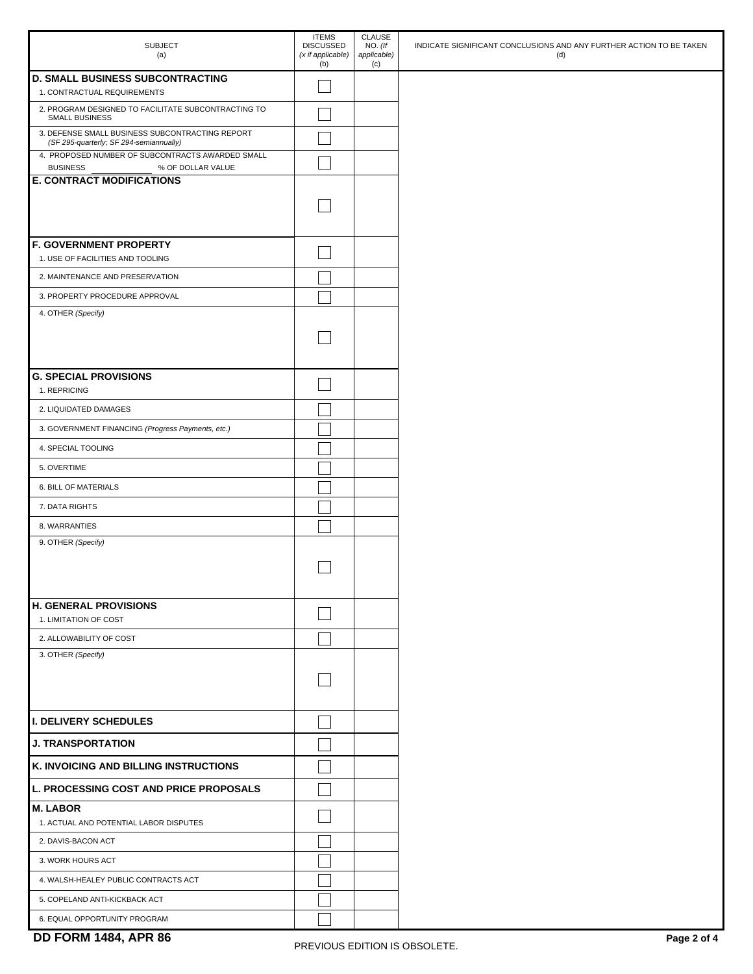| <b>SUBJECT</b><br>(a)                                                                       | <b>ITEMS</b><br><b>DISCUSSED</b><br>(x if applicable)<br>(b) | <b>CLAUSE</b><br>$NO.$ (If<br>applicable)<br>(c) | INDICATE SIGNIFICANT CONCLUSIONS AND ANY FURTHER ACTION TO BE TAKEN<br>(d) |
|---------------------------------------------------------------------------------------------|--------------------------------------------------------------|--------------------------------------------------|----------------------------------------------------------------------------|
| D. SMALL BUSINESS SUBCONTRACTING                                                            |                                                              |                                                  |                                                                            |
| 1. CONTRACTUAL REQUIREMENTS<br>2. PROGRAM DESIGNED TO FACILITATE SUBCONTRACTING TO          |                                                              |                                                  |                                                                            |
| <b>SMALL BUSINESS</b><br>3. DEFENSE SMALL BUSINESS SUBCONTRACTING REPORT                    |                                                              |                                                  |                                                                            |
| (SF 295-quarterly; SF 294-semiannually)<br>4. PROPOSED NUMBER OF SUBCONTRACTS AWARDED SMALL |                                                              |                                                  |                                                                            |
| <b>BUSINESS</b><br>% OF DOLLAR VALUE                                                        |                                                              |                                                  |                                                                            |
| <b>E. CONTRACT MODIFICATIONS</b>                                                            |                                                              |                                                  |                                                                            |
|                                                                                             |                                                              |                                                  |                                                                            |
| <b>F. GOVERNMENT PROPERTY</b>                                                               |                                                              |                                                  |                                                                            |
| 1. USE OF FACILITIES AND TOOLING                                                            |                                                              |                                                  |                                                                            |
| 2. MAINTENANCE AND PRESERVATION                                                             |                                                              |                                                  |                                                                            |
| 3. PROPERTY PROCEDURE APPROVAL<br>4. OTHER (Specify)                                        |                                                              |                                                  |                                                                            |
|                                                                                             |                                                              |                                                  |                                                                            |
|                                                                                             |                                                              |                                                  |                                                                            |
| <b>G. SPECIAL PROVISIONS</b><br>1. REPRICING                                                |                                                              |                                                  |                                                                            |
| 2. LIQUIDATED DAMAGES                                                                       |                                                              |                                                  |                                                                            |
| 3. GOVERNMENT FINANCING (Progress Payments, etc.)                                           |                                                              |                                                  |                                                                            |
| 4. SPECIAL TOOLING                                                                          |                                                              |                                                  |                                                                            |
| 5. OVERTIME                                                                                 |                                                              |                                                  |                                                                            |
| 6. BILL OF MATERIALS                                                                        |                                                              |                                                  |                                                                            |
| 7. DATA RIGHTS                                                                              |                                                              |                                                  |                                                                            |
| 8. WARRANTIES                                                                               |                                                              |                                                  |                                                                            |
| 9. OTHER (Specify)                                                                          |                                                              |                                                  |                                                                            |
|                                                                                             |                                                              |                                                  |                                                                            |
|                                                                                             |                                                              |                                                  |                                                                            |
| <b>H. GENERAL PROVISIONS</b>                                                                |                                                              |                                                  |                                                                            |
| 1. LIMITATION OF COST                                                                       |                                                              |                                                  |                                                                            |
| 2. ALLOWABILITY OF COST                                                                     |                                                              |                                                  |                                                                            |
| 3. OTHER (Specify)                                                                          |                                                              |                                                  |                                                                            |
|                                                                                             |                                                              |                                                  |                                                                            |
|                                                                                             |                                                              |                                                  |                                                                            |
| <b>I. DELIVERY SCHEDULES</b>                                                                |                                                              |                                                  |                                                                            |
| <b>J. TRANSPORTATION</b>                                                                    |                                                              |                                                  |                                                                            |
| K. INVOICING AND BILLING INSTRUCTIONS                                                       |                                                              |                                                  |                                                                            |
| L. PROCESSING COST AND PRICE PROPOSALS                                                      |                                                              |                                                  |                                                                            |
| <b>M. LABOR</b><br>1. ACTUAL AND POTENTIAL LABOR DISPUTES                                   |                                                              |                                                  |                                                                            |
| 2. DAVIS-BACON ACT                                                                          |                                                              |                                                  |                                                                            |
| 3. WORK HOURS ACT                                                                           |                                                              |                                                  |                                                                            |
| 4. WALSH-HEALEY PUBLIC CONTRACTS ACT                                                        |                                                              |                                                  |                                                                            |
| 5. COPELAND ANTI-KICKBACK ACT                                                               |                                                              |                                                  |                                                                            |
| 6. EQUAL OPPORTUNITY PROGRAM                                                                |                                                              |                                                  |                                                                            |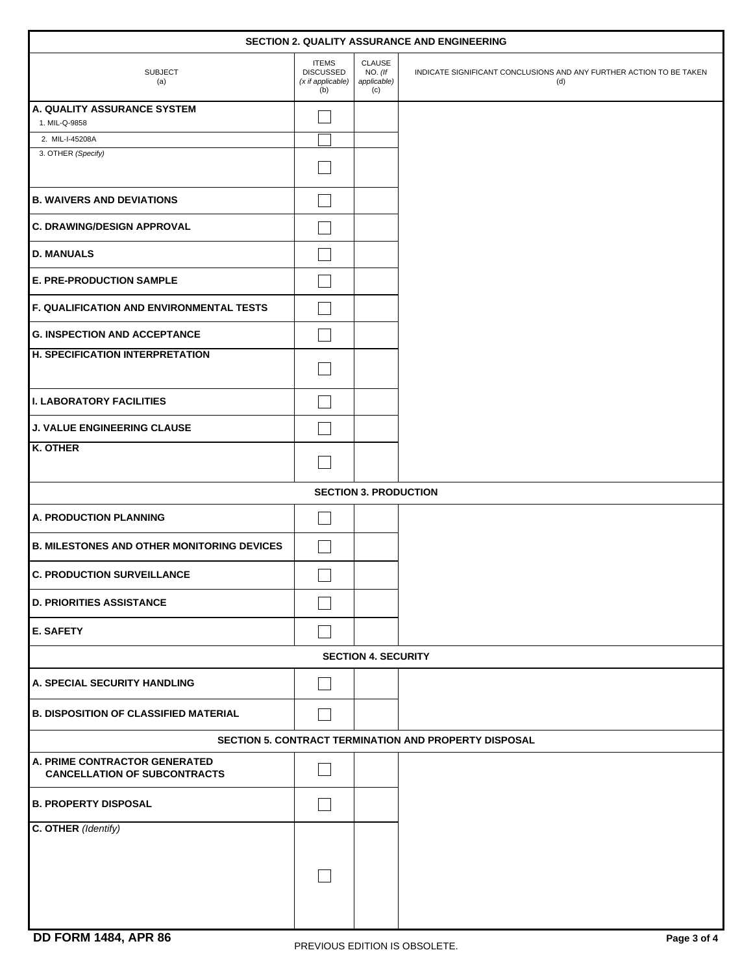| SECTION 2. QUALITY ASSURANCE AND ENGINEERING                         |                                                              |                                                |                                                                            |  |  |  |
|----------------------------------------------------------------------|--------------------------------------------------------------|------------------------------------------------|----------------------------------------------------------------------------|--|--|--|
| <b>SUBJECT</b><br>(a)                                                | <b>ITEMS</b><br><b>DISCUSSED</b><br>(x if applicable)<br>(b) | <b>CLAUSE</b><br>NO. (If<br>applicable)<br>(c) | INDICATE SIGNIFICANT CONCLUSIONS AND ANY FURTHER ACTION TO BE TAKEN<br>(d) |  |  |  |
| A. QUALITY ASSURANCE SYSTEM<br>1. MIL-Q-9858                         |                                                              |                                                |                                                                            |  |  |  |
| 2. MIL-I-45208A                                                      |                                                              |                                                |                                                                            |  |  |  |
| 3. OTHER (Specify)                                                   |                                                              |                                                |                                                                            |  |  |  |
| <b>B. WAIVERS AND DEVIATIONS</b>                                     |                                                              |                                                |                                                                            |  |  |  |
| <b>C. DRAWING/DESIGN APPROVAL</b>                                    |                                                              |                                                |                                                                            |  |  |  |
| <b>D. MANUALS</b>                                                    |                                                              |                                                |                                                                            |  |  |  |
| <b>E. PRE-PRODUCTION SAMPLE</b>                                      |                                                              |                                                |                                                                            |  |  |  |
| <b>F. QUALIFICATION AND ENVIRONMENTAL TESTS</b>                      |                                                              |                                                |                                                                            |  |  |  |
| <b>G. INSPECTION AND ACCEPTANCE</b>                                  |                                                              |                                                |                                                                            |  |  |  |
| <b>H. SPECIFICATION INTERPRETATION</b>                               |                                                              |                                                |                                                                            |  |  |  |
| <b>I. LABORATORY FACILITIES</b>                                      |                                                              |                                                |                                                                            |  |  |  |
| <b>J. VALUE ENGINEERING CLAUSE</b>                                   |                                                              |                                                |                                                                            |  |  |  |
| K. OTHER                                                             |                                                              |                                                |                                                                            |  |  |  |
|                                                                      |                                                              | <b>SECTION 3. PRODUCTION</b>                   |                                                                            |  |  |  |
| A. PRODUCTION PLANNING                                               |                                                              |                                                |                                                                            |  |  |  |
| <b>B. MILESTONES AND OTHER MONITORING DEVICES</b>                    |                                                              |                                                |                                                                            |  |  |  |
| <b>C. PRODUCTION SURVEILLANCE</b>                                    |                                                              |                                                |                                                                            |  |  |  |
| <b>D. PRIORITIES ASSISTANCE</b>                                      |                                                              |                                                |                                                                            |  |  |  |
| <b>E. SAFETY</b>                                                     |                                                              |                                                |                                                                            |  |  |  |
|                                                                      |                                                              | <b>SECTION 4. SECURITY</b>                     |                                                                            |  |  |  |
| A. SPECIAL SECURITY HANDLING                                         |                                                              |                                                |                                                                            |  |  |  |
| <b>B. DISPOSITION OF CLASSIFIED MATERIAL</b>                         |                                                              |                                                |                                                                            |  |  |  |
| SECTION 5. CONTRACT TERMINATION AND PROPERTY DISPOSAL                |                                                              |                                                |                                                                            |  |  |  |
| A. PRIME CONTRACTOR GENERATED<br><b>CANCELLATION OF SUBCONTRACTS</b> |                                                              |                                                |                                                                            |  |  |  |
| <b>B. PROPERTY DISPOSAL</b>                                          |                                                              |                                                |                                                                            |  |  |  |
| C. OTHER (Identify)                                                  |                                                              |                                                |                                                                            |  |  |  |
|                                                                      |                                                              |                                                |                                                                            |  |  |  |